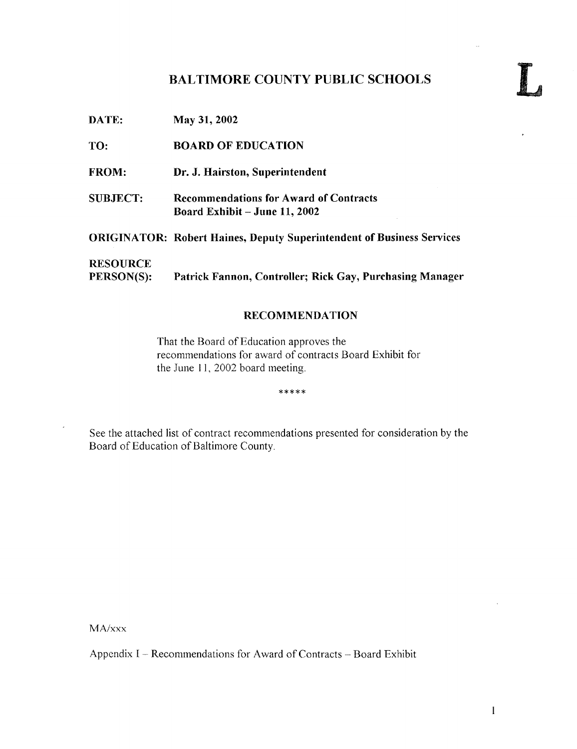## BALTIMORE COUNTY PUBLIC SCHOOLS

DATE: May 31, 2002 TO: BOARD OF EDUCATION FROM: Dr. J. Hairston, Superintendent SUBJECT: Recommendations for Award of Contracts Board Exhibit - June 11, 2002 ORIGINATOR: Robert Haines, Deputy Superintendent of Business Services **RESOURCE**<br>PERSON(S): Patrick Fannon, Controller; Rick Gay, Purchasing Manager

#### RECOMMENDATION

That the Board of Education approves the recommendations for award of contracts Board Exhibit for the June 11, 2002 board meeting.

\*\*\*\*\*

See the attached list of contract recommendations presented for consideration by the Board of Education of Baltimore County.

MA/xxx

Appendix I - Recommendations for Award of Contracts - Board Exhibit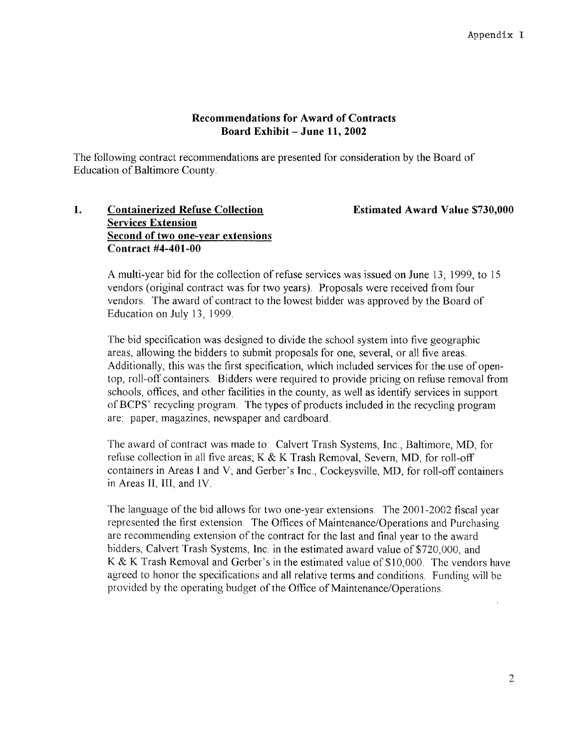#### Recommendations for Award of Contracts Board Exhibit  $-$  June 11, 2002

The following contract recommendations are presented for consideration by the Board of Education of Baltimore County

#### 1. Containerized Refuse Collection **Estimated Award Value \$730,000** Services Extension Second of two one-year extensions Contract #4-401-00

A multi-year bid for the collection of refuse services was issued on June 13, 1999, to <sup>15</sup> vendors (original contract was for two years) . Proposals were received from four vendors The award of contract to the lowest bidder was approved by the Board of Education on July 13, 1999 .

The bid specification was designed to divide the school system into five geographic areas, allowing the bidders to submit proposals for one, several, or all five areas. Additionally, this was the first specification, which included services for the use of opentop, roll-off containers Bidders were required to provide pricing on refuse removal from schools, offices, and other facilities in the county, as well as identify services in support of BCPS' recycling program. The types of products included in the recycling program are: paper, magazines, newspaper and cardboard.

The award of contract was made to : Calvert Trash Systems, Inc., Baltimore, MD, for refuse collection in all five areas; K & K Trash Removal, Severn, MD, for roll-off containers in Areas <sup>1</sup> and V; and Gerber's Inc., Cockeysville, MD, for roll-off containers in Areas II, III, and IV.

The language of the bid allows for two one-year extensions. The 2001-2002 fiscal year represented the first extension. The Offices of Maintenance/Operations and Purchasing are recommending extension of the contract for the last and final year to the award bidders, Calvert Trash Systems, Inc. in the estimated award value of \$720,000, and K & K Trash Removal and Gerber's in the estimated value of \$10,000. The vendors have agreed to honor the specifications and all relative terms and conditions. Funding will be provided by the operating budget of the Office of Maintenance/Operations .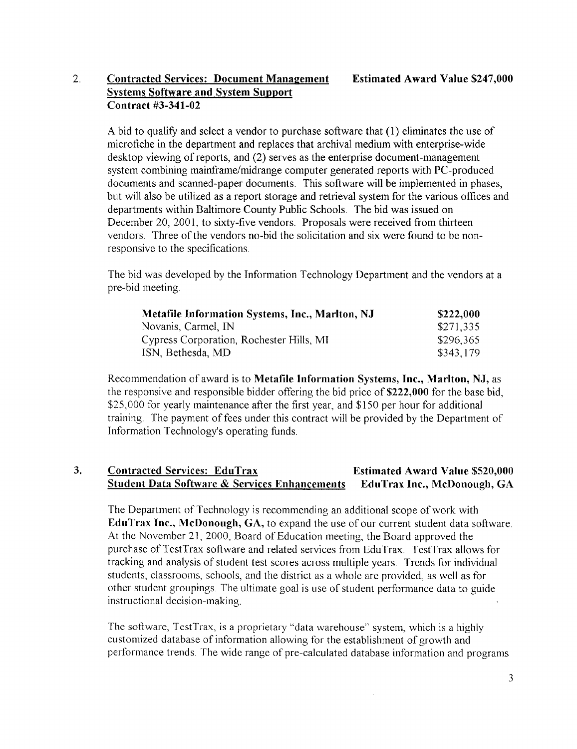#### 2. Contracted Services: Document Management Estimated Award Value \$247,000 Systems Software and System Support Contract #3-341-02

A bid to qualify and select a vendor to purchase software that (1) eliminates the use of microfiche in the department and replaces that archival medium with enterprise-wide desktop viewing of reports, and (2) serves as the enterprise document-management system combining mainframe/midrange computer generated reports with PC-produced documents and scanned-paper documents. This software will be implemented in phases, but will also be utilized as a report storage and retrieval system for the various offices and departments within Baltimore County Public Schools The bid was issued on December 20, 2001, to sixty-five vendors. Proposals were received from thirteen vendors. Three of the vendors no-bid the solicitation and six were found to be nonresponsive to the specifications .

The bid was developed by the Information Technology Department and the vendors at a pre-bid meeting.

| Metafile Information Systems, Inc., Marlton, NJ | \$222,000 |
|-------------------------------------------------|-----------|
| Novanis, Carmel, IN                             | \$271,335 |
| Cypress Corporation, Rochester Hills, MI        | \$296,365 |
| ISN, Bethesda, MD                               | \$343,179 |

Recommendation of award is to Metafile Information Systems, Inc., Marlton, NJ, as the responsive and responsible bidder offering the bid price of \$222,000 for the base bid, \$25,000 for yearly maintenance after the first year, and \$150 per hour for additional training. The payment of fees under this contract will be provided by the Department of Information Technology's operating funds.

#### 3. Contracted Services: EduTrax<br>Student Data Software & Services Enhancements EduTrax Inc., McDonough, GA Student Data Software & Services Enhancements

The Department of Technology is recommending an additional scope of work with EduTrax Inc., McDonough, GA, to expand the use of our current student data software . At the November 21, 2000, Board of Education meeting, the Board approved the purchase of TestTrax software and related services from EduTrax. TestTrax allows for tracking and analysis of student test scores across multiple years. Trends for individual students, classrooms, schools, and the district as a whole are provided, as well as for other student groupings. The ultimate goal is use of student performance data to guide instructional decision-making.

The software, TestTrax, is a proprietary "data warehouse" system, which is a highly customized database of information allowing for the establishment of growth and performance trends . The wide range of pre-calculated database information and programs

 $\bar{\mathcal{A}}$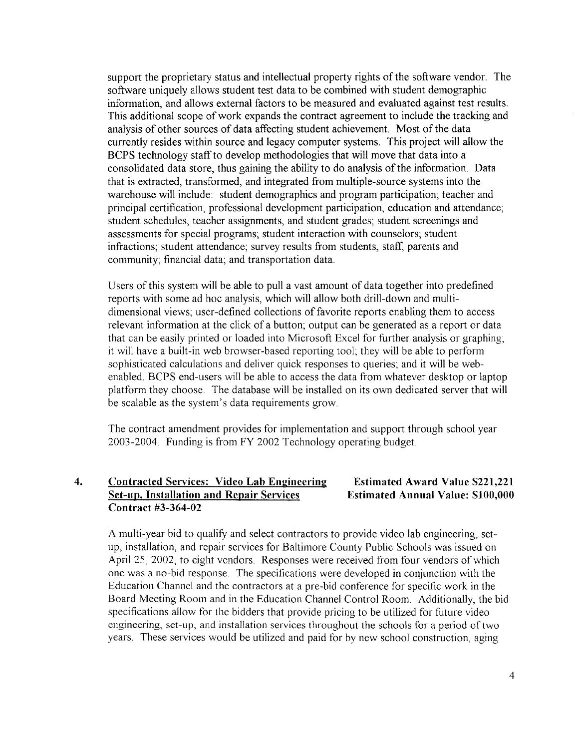support the proprietary status and intellectual property rights of the software vendor . The software uniquely allows student test data to be combined with student demographic information, and allows external factors to be measured and evaluated against test results . This additional scope of work expands the contract agreement to include the tracking and analysis of other sources of data affecting student achievement. Most of the data currently resides within source and legacy computer systems. This project will allow the BCPS technology staff to develop methodologies that will move that data into a consolidated data store, thus gaining the ability to do analysis of the information. Data that is extracted, transformed, and integrated from multiple-source systems into the warehouse will include: student demographics and program participation; teacher and principal certification, professional development participation, education and attendance; student schedules, teacher assignments, and student grades, student screenings and assessments for special programs; student interaction with counselors; student infractions; student attendance; survey results from students, staff, parents and community; financial data, and transportation data.

Users of this system will be able to pull a vast amount of data together into predefined reports with some ad hoc analysis, which will allow both drill-down and multidimensional views; user-defined collections of favorite reports enabling them to access relevant information at the click of a button; output can be generated as a report or data that can be easily printed or loaded into Microsoft Excel for further analysis or graphing it will have a built-in web browser-based reporting tool; they will be able to perform sophisticated calculations and deliver quick responses to queries; and it will be webenabled. BCPS end-users will be able to access the data from whatever desktop or laptop platform they choose. The database will be installed on its own dedicated server that will be scalable as the system's data requirements grow

The contract amendment provides for implementation and support through school year 2003-2004 . Funding is from FY 2002 Technology operating budget.

#### 4. Contracted Services: Video Lab Engineering Estimated Award Value \$221,221<br>Set-up, Installation and Repair Services Estimated Annual Value: \$100,000 Set-up, Installation and Repair Services Contract #3-364-02

A multi-year bid to qualify and select contractors to provide video lab engineering, setup, installation, and repair services for Baltimore County Public Schools was issued on April 25, 2002, to eight vendors. Responses were received from four vendors of which one was a no-bid response. The specifications were developed in conjunction with the Education Channel and the contractors at a pre-bid conference for specific work in the Board Meeting Room and in the Education Channel Control Room. Additionally, the bid specifications allow for the bidders that provide pricing to be utilized for future video engineering, set-up, and installation services throughout the schools for a period of two years. These services would be utilized and paid for by new school construction, aging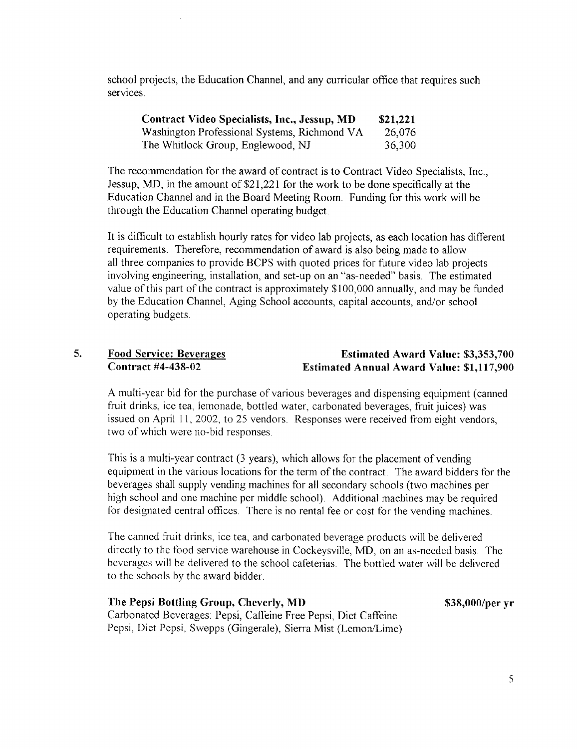school projects, the Education Channel, and any curricular office that requires such services.

| <b>Contract Video Specialists, Inc., Jessup, MD</b> | \$21,221 |
|-----------------------------------------------------|----------|
| Washington Professional Systems, Richmond VA        | 26,076   |
| The Whitlock Group, Englewood, NJ                   | 36,300   |

The recommendation for the award of contract is to Contract Video Specialists, Inc., Jessup, MD, in the amount of \$21,221 for the work to be done specifically at the Education Channel and in the Board Meeting Room. Funding for this work will be through the Education Channel operating budget.

It is difficult to establish hourly rates for video lab projects, as each location has different requirements. Therefore, recommendation of award is also being made to allow all three companies to provide BCPS with quoted prices for future video lab projects involving engineering, installation, and set-up on an "as-needed" basis. The estimated value of this part of the contract is approximately \$100,000 annually, and may be funded by the Education Channel, Aging School accounts, capital accounts, and/or school operating budgets.

#### 5. Food Service: Beverages Contract #4-438-02 Estimated Award Value: \$3,353,700 Estimated Annual Award Value: \$1,117,900

A multi-year bid for the purchase of various beverages and dispensing equipment (canned fruit drinks, ice tea, lemonade, bottled water, carbonated beverages, fruit juices) was issued on April 11, 2002, to 25 vendors. Responses were received from eight vendors, two of which were no-bid responses.

This is a multi-year contract (3 years), which allows for the placement of vending equipment in the various locations for the term of the contract. The award bidders for the beverages shall supply vending machines for all secondary schools (two machines per high school and one machine per middle school). Additional machines may be required for designated central offices. There is no rental fee or cost for the vending machines.

The canned fruit drinks, ice tea, and carbonated beverage products will be delivered directly to the food service warehouse in Cockeysville, MD, on an as-needed basis. The beverages will be delivered to the school cafeterias The bottled water will be delivered to the schools by the award bidder

### The Pepsi Bottling Group, Cheverly, MD

\$38,000/per yr

Carbonated Beverages: Pepsi, Caffeine Free Pepsi, Diet Caffeine Pepsi, Diet Pepsi, Swepps (Gingerale), Sierra Mist (Lemon/Lime)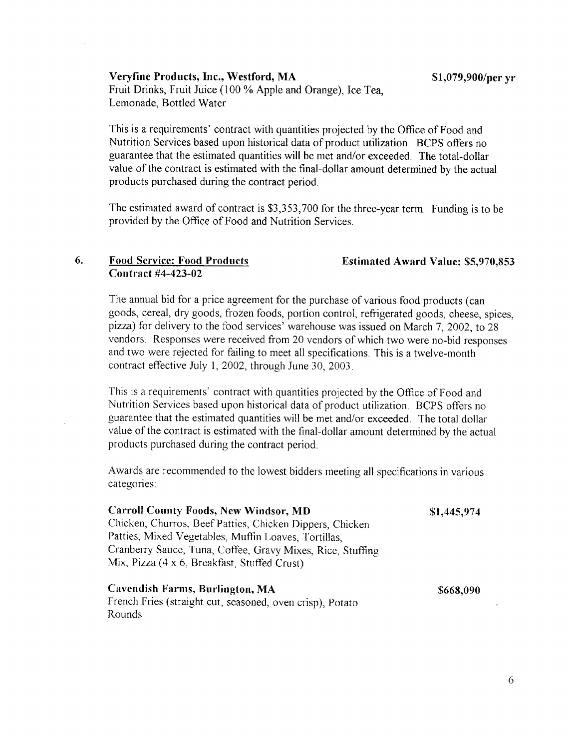Veryfine Products, Inc., Westford, MA Fruit Drinks, Fruit Juice (100 % Apple and Orange), Ice Tea, Lemonade, Bottled Water

This is <sup>a</sup> requirements' contract with quantities projected by the Office of Food and Nutrition Services based upon historical data of product utilization. BCPS offers no guarantee that the estimated quantities will be met and/or exceeded . The total-dollar value of the contract is estimated with the final-dollar amount determined by the actual products purchased during the contract period .

The estimated award of contract is \$3,353,700 for the three-year term. Funding is to be provided by the Office of Food and Nutrition Services.

#### 6. Food Service: Food Products Contract #4-423-02

Rounds

The annual bid for a price agreement for the purchase of various food products (can goods, cereal, dry goods, frozen foods, portion control, refrigerated goods, cheese, spices, pizza) for delivery to the food services' warehouse was issued on March 7, 2002, to 28 vendors . Responses were received from 20 vendors of which two were no-bid responses and two were rejected for failing to meet all specifications This is <sup>a</sup> twelve-month contract effective July 1, 2002, through June 30, 2003 .

This is <sup>a</sup> requirements' contract with quantities projected by the Office of Food and Nutrition Services based upon historical data of product utilization. BCPS offers no guarantee that the estimated quantities will be met and/or exceeded. The total dollar value of the contract is estimated with the final-dollar amount determined by the actual products purchased during the contract period.

Awards are recommended to the lowest bidders meeting all specifications in various categories:

| <b>Carroll County Foods, New Windsor, MD</b>               | \$1,445,974 |
|------------------------------------------------------------|-------------|
| Chicken, Churros, Beef Patties, Chicken Dippers, Chicken   |             |
| Patties, Mixed Vegetables, Muffin Loaves, Tortillas,       |             |
| Cranberry Sauce, Tuna, Coffee, Gravy Mixes, Rice, Stuffing |             |
| Mix, Pizza (4 x 6, Breakfast, Stuffed Crust)               |             |
| Cavendish Farms, Burlington, MA                            | \$668,090   |
| French Fries (straight cut, seasoned, oven crisp), Potato  |             |

Estimated Award Value: \$5,970,853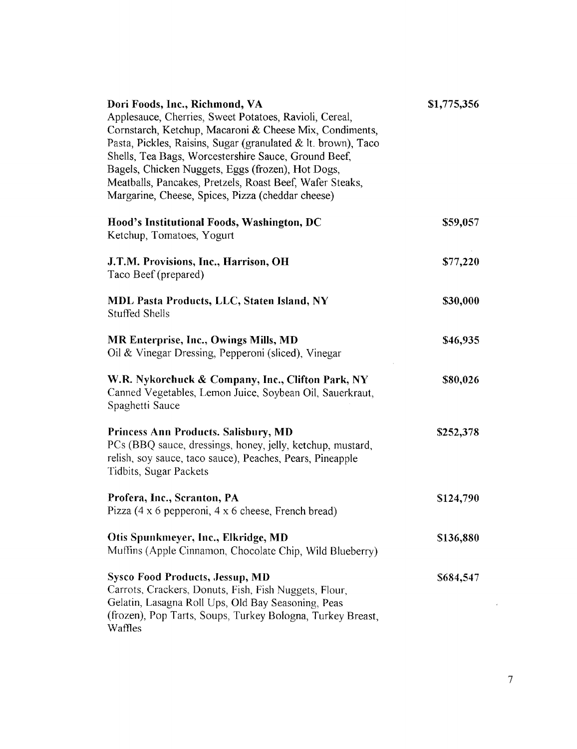| Dori Foods, Inc., Richmond, VA<br>Applesauce, Cherries, Sweet Potatoes, Ravioli, Cereal,<br>Cornstarch, Ketchup, Macaroni & Cheese Mix, Condiments,<br>Pasta, Pickles, Raisins, Sugar (granulated & lt. brown), Taco<br>Shells, Tea Bags, Worcestershire Sauce, Ground Beef,<br>Bagels, Chicken Nuggets, Eggs (frozen), Hot Dogs,<br>Meatballs, Pancakes, Pretzels, Roast Beef, Wafer Steaks,<br>Margarine, Cheese, Spices, Pizza (cheddar cheese) | \$1,775,356 |  |
|----------------------------------------------------------------------------------------------------------------------------------------------------------------------------------------------------------------------------------------------------------------------------------------------------------------------------------------------------------------------------------------------------------------------------------------------------|-------------|--|
| Hood's Institutional Foods, Washington, DC<br>Ketchup, Tomatoes, Yogurt                                                                                                                                                                                                                                                                                                                                                                            | \$59,057    |  |
| J.T.M. Provisions, Inc., Harrison, OH<br>Taco Beef (prepared)                                                                                                                                                                                                                                                                                                                                                                                      | \$77,220    |  |
| MDL Pasta Products, LLC, Staten Island, NY<br><b>Stuffed Shells</b>                                                                                                                                                                                                                                                                                                                                                                                | \$30,000    |  |
| MR Enterprise, Inc., Owings Mills, MD<br>Oil & Vinegar Dressing, Pepperoni (sliced), Vinegar                                                                                                                                                                                                                                                                                                                                                       | \$46,935    |  |
| W.R. Nykorchuck & Company, Inc., Clifton Park, NY<br>Canned Vegetables, Lemon Juice, Soybean Oil, Sauerkraut,<br>Spaghetti Sauce                                                                                                                                                                                                                                                                                                                   | \$80,026    |  |
| <b>Princess Ann Products. Salisbury, MD</b><br>PCs (BBQ sauce, dressings, honey, jelly, ketchup, mustard,<br>relish, soy sauce, taco sauce), Peaches, Pears, Pineapple<br>Tidbits, Sugar Packets                                                                                                                                                                                                                                                   | \$252,378   |  |
| Profera, Inc., Scranton, PA<br>Pizza $(4 \times 6$ pepperoni, $4 \times 6$ cheese, French bread)                                                                                                                                                                                                                                                                                                                                                   | \$124,790   |  |
| Otis Spunkmeyer, Inc., Elkridge, MD<br>Muffins (Apple Cinnamon, Chocolate Chip, Wild Blueberry)                                                                                                                                                                                                                                                                                                                                                    | \$136,880   |  |
| <b>Sysco Food Products, Jessup, MD</b><br>Carrots, Crackers, Donuts, Fish, Fish Nuggets, Flour,<br>Gelatin, Lasagna Roll Ups, Old Bay Seasoning, Peas<br>(frozen), Pop Tarts, Soups, Turkey Bologna, Turkey Breast,<br>Waffles                                                                                                                                                                                                                     | \$684,547   |  |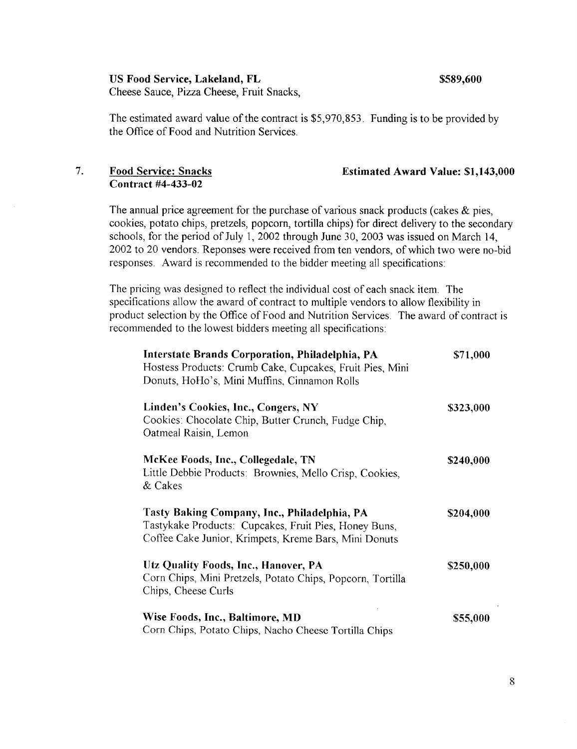US Food Service, Lakeland, FL  $$589,600$ 

Cheese Sauce, Pizza Cheese, Fruit Snacks,

The estimated award value of the contract is \$5,970,853. Funding is to be provided by the Office of Food and Nutrition Services.

# Contract #4-433-02

#### 7. Food Service: Snacks Estimated Award Value: \$1,143,000

The annual price agreement for the purchase of various snack products (cakes & pies, cookies, potato chips, pretzels, popcorn, tortilla chips) for direct delivery to the secondary schools, for the period of July 1, 2002 through June 30, 2003 was issued on March 14, 2002 to 20 vendors. Reponses were received from ten vendors, of which two were no-bid responses. Award is recommended to the bidder meeting all specifications :

The pricing was designed to reflect the individual cost of each snack item. The specifications allow the award of contract to multiple vendors to allow flexibility in product selection by the Office of Food and Nutrition Services. The award of contract is recommended to the lowest bidders meeting all specifications

| Interstate Brands Corporation, Philadelphia, PA<br>Hostess Products: Crumb Cake, Cupcakes, Fruit Pies, Mini<br>Donuts, HoHo's, Mini Muffins, Cinnamon Rolls    | \$71,000  |
|----------------------------------------------------------------------------------------------------------------------------------------------------------------|-----------|
| Linden's Cookies, Inc., Congers, NY<br>Cookies: Chocolate Chip, Butter Crunch, Fudge Chip,<br>Oatmeal Raisin, Lemon                                            | \$323,000 |
| McKee Foods, Inc., Collegedale, TN<br>Little Debbie Products: Brownies, Mello Crisp, Cookies,<br>& Cakes                                                       | \$240,000 |
| Tasty Baking Company, Inc., Philadelphia, PA<br>Tastykake Products: Cupcakes, Fruit Pies, Honey Buns,<br>Coffee Cake Junior, Krimpets, Kreme Bars, Mini Donuts | \$204,000 |
| Utz Quality Foods, Inc., Hanover, PA<br>Corn Chips, Mini Pretzels, Potato Chips, Popcorn, Tortilla<br>Chips, Cheese Curls                                      | \$250,000 |
| Wise Foods, Inc., Baltimore, MD<br>Corn Chips, Potato Chips, Nacho Cheese Tortilla Chips                                                                       | \$55,000  |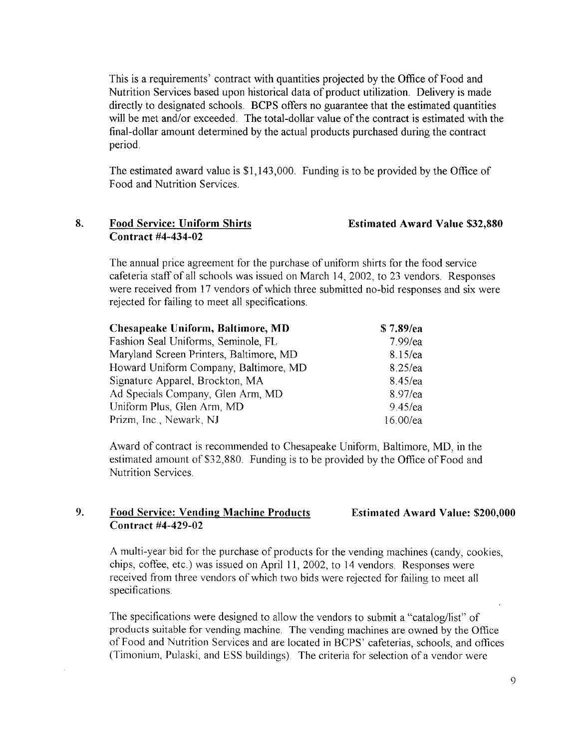This is a requirements' contract with quantities projected by the Office of Food and Nutrition Services based upon historical data of product utilization. Delivery is made directly to designated schools. BCPS offers no guarantee that the estimated quantities will be met and/or exceeded. The total-dollar value of the contract is estimated with the final-dollar amount determined by the actual products purchased during the contract period.

The estimated award value is \$1,143,000. Funding is to be provided by the Office of Food and Nutrition Services .

#### 8. Food Service: Uniform Shirts Contract #4-434-02

#### Estimated Award Value \$32,880

The annual price agreement for the purchase of uniform shirts for the food service cafeteria staff of all schools was issued on March 14, 2002, to 23 vendors. Responses were received from 17 vendors of which three submitted no-bid responses and six were rejected for failing to meet all specifications .

| Chesapeake Uniform, Baltimore, MD       | \$7.89/ea  |
|-----------------------------------------|------------|
| Fashion Seal Uniforms, Seminole, FL     | $7.99$ /ea |
| Maryland Screen Printers, Baltimore, MD | $8.15$ /ea |
| Howard Uniform Company, Baltimore, MD   | 8.25/ea    |
| Signature Apparel, Brockton, MA         | $8.45$ /ea |
| Ad Specials Company, Glen Arm, MD       | 8.97/ea    |
| Uniform Plus, Glen Arm, MD              | $9.45$ /ea |
| Prizm, Inc., Newark, NJ                 | 16.00/ea   |

Award of contract is recommended to Chesapeake Uniform, Baltimore, MD, in the estimated amount of \$32,880. Funding is to be provided by the Office of Food and Nutrition Services .

#### 9. Food Service: Vending Machine Products Contract #4-429-02 Estimated Award Value: \$200,000

A multi-year bid for the purchase of products for the vending machines (candy, cookies, chips, coffee, etc.) was issued on April 11, 2002, to 14 vendors. Responses were received from three vendors of which two bids were rejected for failing to meet all specifications .

The specifications were designed to allow the vendors to submit a "catalog/list" of products suitable for vending machine. The vending machines are owned by the Office of Food and Nutrition Services and are located in BCPS' cafeterias, schools, and offices (Timonium, Pulaski, and ESS buildings) The criteria for selection of a vendor were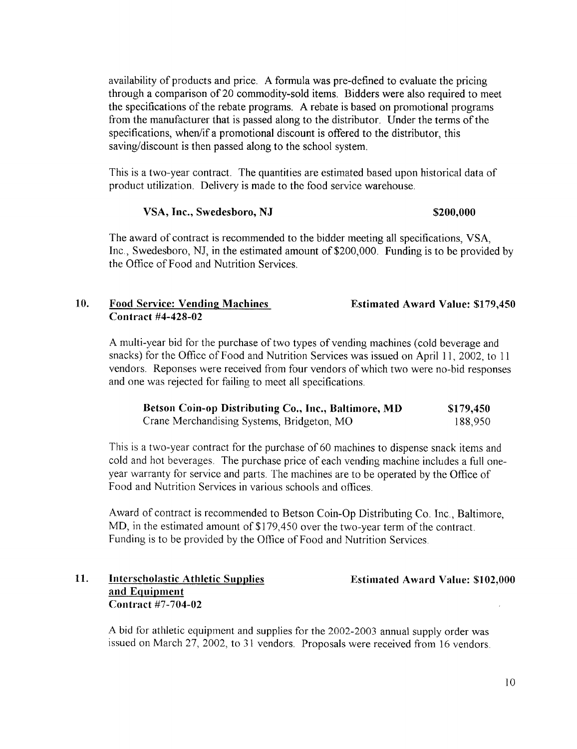availability of products and price. Aformula was pre-defined to evaluate the pricing through a comparison of 20 commodity-sold items. Bidders were also required to meet the specifications ofthe rebate programs. Arebate is based on promotional programs from the manufacturer that is passed along to the distributor. Under the terms of the specifications, when/if a promotional discount is offered to the distributor, this saving/discount is then passed along to the school system.

This is a two-year contract. The quantities are estimated based upon historical data of product utilization. Delivery is made to the food service warehouse

#### VSA, Inc., Swedesboro, NJ \$200,000

The award of contract is recommended to the bidder meeting all specifications, VSA, Inc., Swedesboro, NJ, in the estimated amount of \$200,000. Funding is to be provided by the Office of Food and Nutrition Services .

#### 10. Food Service: Vending Machines Estimated Award Value: \$179,450 Contract #4-428-02

Amulti-year bid for the purchase of two types of vending machines (cold beverage and snacks) for the Office of Food and Nutrition Services was issued on April 11, 2002, to <sup>11</sup> vendors. Reponses were received from four vendors of which two were no-bid responses and one was rejected for failing to meet all specifications .

| Betson Coin-op Distributing Co., Inc., Baltimore, MD | \$179,450 |
|------------------------------------------------------|-----------|
| Crane Merchandising Systems, Bridgeton, MO           | 188,950   |

This is a two-year contract for the purchase of 60 machines to dispense snack items and cold and hot beverages. The purchase price of each vending machine includes a full oneyear warranty for service and parts . The machines are to be operated by the Office of Food and Nutrition Services in various schools and offices.

Award of contract is recommended to Betson Coin-Op Distributing Co . Inc., Baltimore, MD, in the estimated amount of \$179,450 over the two-year term of the contract. Funding is to be provided by the Office of Food and Nutrition Services .

#### 11. Interscholastic Athletic Supplies Estimated Award Value: \$102,000 and Equipment Contract #7-704-02

A bid for athletic equipment and supplies for the 2002-2003 annual supply order was issued on March 27, 2002, to <sup>31</sup> vendors. Proposals were received from 16 vendors.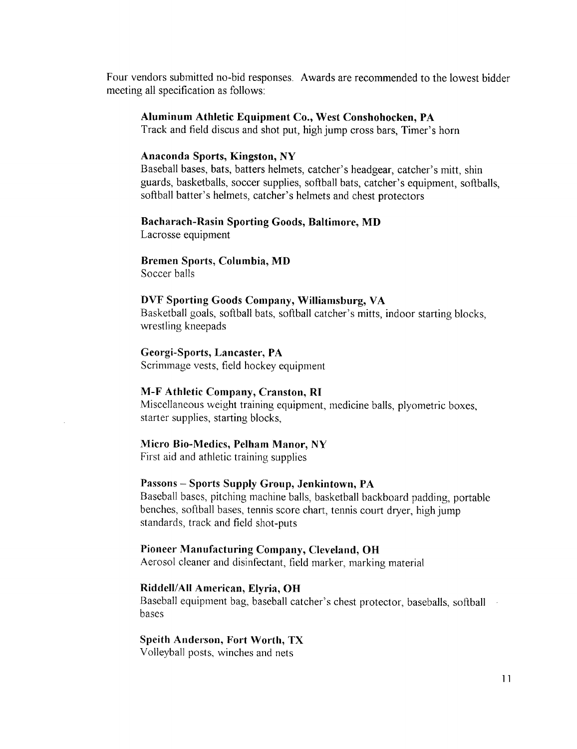Four vendors submitted no-bid responses. Awards are recommended to the lowest bidder meeting all specification as follows:

#### Aluminum Athletic Equipment Co., West Conshohocken, PA

Track and field discus and shot put, high jump cross bars, Timer's horn

#### Anaconda Sports, Kingston, NY

Baseball bases, bats, batters helmets, catcher's headgear, catcher's mitt, shin guards, basketballs, soccer supplies, softball bats, catcher's equipment, softballs, softball batter's helmets, catcher's helmets and chest protectors

#### Bacharach-Rasin Sporting Goods, Baltimore, MD

Lacrosse equipment

#### Bremen Sports, Columbia, MD

Soccer balls

#### DVF Sporting Goods Company, Williamsburg, VA

Basketball goals, softball bats, softball catcher's mitts, indoor starting blocks, wrestling kneepads

#### Georgi-Sports, Lancaster, PA

Scrimmage vests, field hockey equipment

#### M-F Athletic Company, Cranston, RI

Miscellaneous weight training equipment, medicine balls, plyometric boxes, starter supplies, starting blocks,

#### Micro Bio-Medics, Pelham Manor, NY

First aid and athletic training supplies

#### Passons - Sports Supply Group, Jenkintown, PA

Baseball bases, pitching machine balls, basketball backboard padding, portable benches, softball bases, tennis score chart, tennis court dryer, high jump standards, track and field shot-puts

#### Pioneer Manufacturing Company, Cleveland, OH

Aerosol cleaner and disinfectant, field marker, marking material

#### Riddell/All American, Elyria, Oft

Baseball equipment bag, baseball catcher's chest protector, baseballs, softball bases

#### Speith Anderson, Fort Worth, TX

Volleyball posts, winches and nets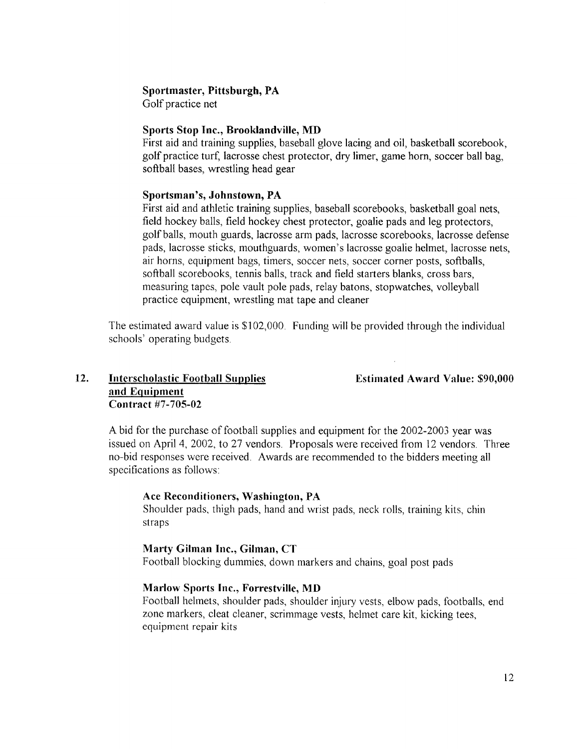#### Sportmaster, Pittsburgh, PA

Golf practice net

#### Sports Stop Inc., Brooklandville, MD

First aid and training supplies, baseball glove lacing and oil, basketball scorebook, golf practice turf, lacrosse chest protector, dry limer, game horn, soccer ball bag, softball bases, wrestling head gear

#### Sportsman's, Johnstown, PA

First aid and athletic training supplies, baseball scorebooks, basketball goal nets, field hockey balls, field hockey chest protector, goalie pads and leg protectors, golf balls, mouth guards, lacrosse arm pads, lacrosse scorebooks, lacrosse defense pads, lacrosse sticks, mouthguards, women's lacrosse goalie helmet, lacrosse nets, air horns, equipment bags, timers, soccer nets, soccer corner posts, softballs, softball scorebooks, tennis balls, track and field starters blanks, cross bars, measuring tapes, pole vault pole pads, relay batons, stopwatches, volleyball practice equipment, wrestling mat tape and cleaner

The estimated award value is \$102,000 Funding will be provided through the individual schools' operating budgets

#### 12. Interscholastic Football Supplies Estimated Award Value: \$90,000 and Equipment Contract #7-705-02

Abid for the purchase of football supplies and equipment for the 2002-2003 year was issued on April 4, 2002, to 27 vendors. Proposals were received from 12 vendors. Three no-bid responses were received. Awards are recommended to the bidders meeting all specifications as follows:

#### Ace Reconditioners, Washington, PA

Shoulder pads, thigh pads, hand and wrist pads, neck rolls, training kits, chin straps

#### Marty Gilman Inc., Gilman, CT

Football blocking dummies, down markers and chains, goal post pads

#### Marlow Sports Inc., Forrestville, MD

Football helmets, shoulder pads, shoulder injury vests, elbow pads, footballs, end zone markers, cleat cleaner, scrimmage vests, helmet care kit, kicking tees, equipment repair kits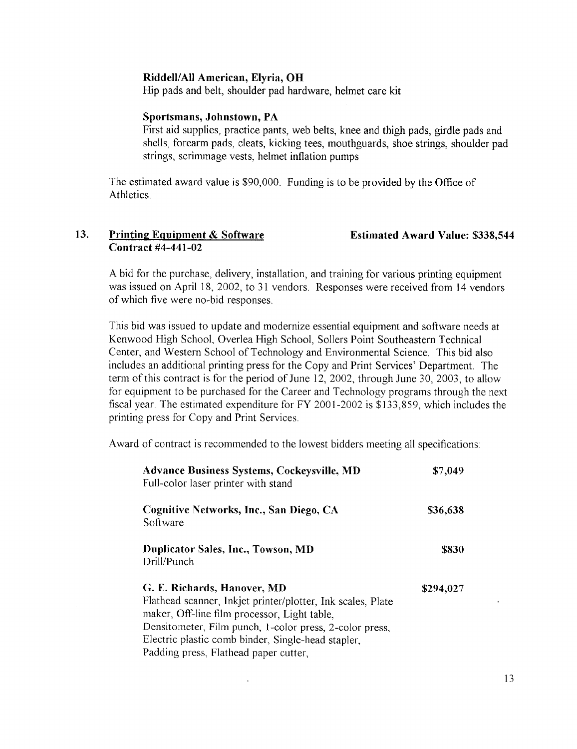#### Riddell/All American, Elyria, OH

Hip pads and belt, shoulder pad hardware, helmet care kit

#### Sportsmans, Johnstown, PA

First aid supplies, practice pants, web belts, knee and thigh pads, girdle pads and shells, forearm pads, cleats, kicking tees, mouthguards, shoe strings, shoulder pad strings, scrimmage vests, helmet inflation pumps

The estimated award value is \$90,000. Funding is to be provided by the Office of Athletics.

#### 13. Printing Equipment & Software Estimated Award Value: \$338,544 Contract 44-441-02

Abid for the purchase, delivery, installation, and training for various printing equipment was issued on April 18, 2002, to 31 vendors. Responses were received from 14 vendors ofwhich five were no-bid responses .

This bid was issued to update and modernize essential equipment and software needs at Kenwood High School, Overlea High School, Sollers Point Southeastern Technical Center, and Western School of Technology and Environmental Science . This bid also includes an additional printing press for the Copy and Print Services' Department. The term of this contract is for the period of June 12, 2002, through June 30, 2003, to allow for equipment to be purchased for the Career and Technology programs through the next fiscal year. The estimated expenditure for FY 2001-2002 is \$133,859, which includes the printing press for Copy and Print Services.

Award of contract is recommended to the lowest bidders meeting all specifications

| <b>Advance Business Systems, Cockeysville, MD</b><br>Full-color laser printer with stand                                                                                                                                                                                                             | \$7,049   |
|------------------------------------------------------------------------------------------------------------------------------------------------------------------------------------------------------------------------------------------------------------------------------------------------------|-----------|
| Cognitive Networks, Inc., San Diego, CA<br>Software                                                                                                                                                                                                                                                  | \$36,638  |
| Duplicator Sales, Inc., Towson, MD<br>Drill/Punch                                                                                                                                                                                                                                                    | \$830     |
| G. E. Richards, Hanover, MD<br>Flathead scanner, Inkjet printer/plotter, Ink scales, Plate<br>maker, Off-line film processor, Light table,<br>Densitometer, Film punch, 1-color press, 2-color press,<br>Electric plastic comb binder, Single-head stapler,<br>Padding press, Flathead paper cutter, | \$294,027 |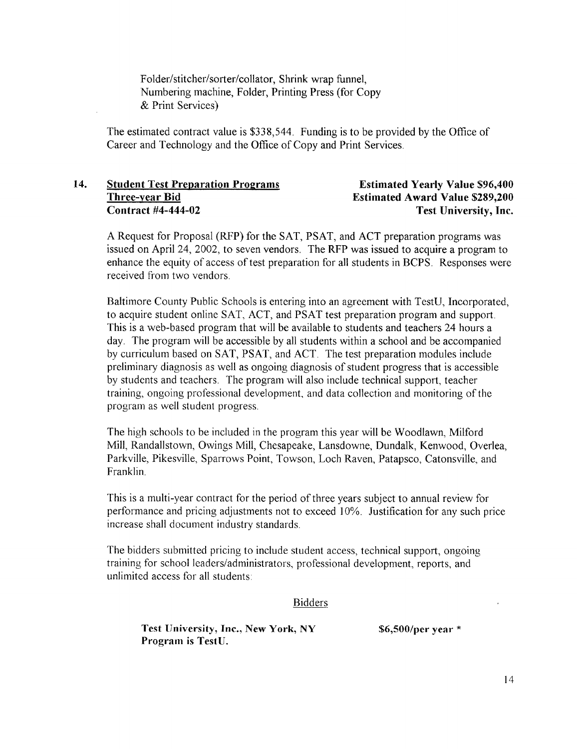Folder/stitcher/sorter/collator, Shrink wrap funnel, Numbering machine, Folder, Printing Press (for Copy & Print Services)

The estimated contract value is \$338,544. Funding is to be provided by the Office of Career and Technology and the Office of Copy and Print Services

## 14. Student Test Preparation Programs<br>
Three-year Bid Estimated Award Value \$289,200 Three-year Bid<br>Contract #4-444-02 Estimated Award Value \$289,200<br>Test University, Inc.

# Test University, Inc.

ARequest for Proposal (RFP) for the SAT, PSAT, and ACT preparation programs was issued on April 24, 2002, to seven vendors. The RFP was issued to acquire a program to enhance the equity of access of test preparation for all students in BCPS. Responses were received from two vendors

Baltimore County Public Schools is entering into an agreement with TestU, Incorporated, to acquire student online SAT, ACT, and PSAT test preparation program and support. This is a web-based program that will be available to students and teachers 24 hours a day. The program will be accessible by all students within a school and be accompanied by curriculum based on SAT, PSAT, and ACT. The test preparation modules include preliminary diagnosis as well as ongoing diagnosis of student progress that is accessible by students and teachers . The program will also include technical support, teacher training, ongoing professional development, and data collection and monitoring ofthe program as well student progress

The high schools to be included in the program this year will be Woodlawn, Milford Mill, Randallstown, Owings Mill, Chesapeake, Lansdowne, Dundalk, Kenwood, Overlea, Parkville, Pikesville, Sparrows Point, Towson, Loch Raven, Patapsco, Catonsville, and Franklin.

This is a multi-year contract for the period of three years subject to annual review for performance and pricing adjustments not to exceed 10%. Justification for any such price increase shall document industry standards .

The bidders submitted pricing to include student access, technical support, ongoing training for school leaders/administrators, professional development, reports, and unlimited access for all students:

#### Bidders

Test University, Inc., New York, NY \$6,500/per year \* Program is TestU.